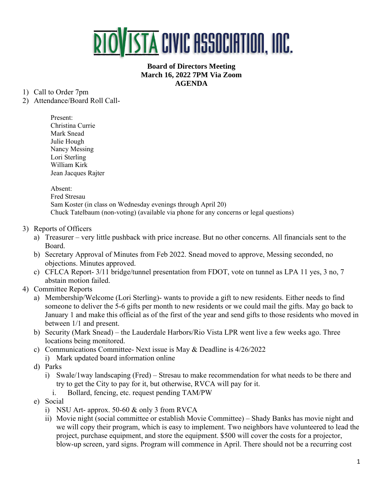

#### **Board of Directors Meeting March 16, 2022 7PM Via Zoom AGENDA**

1) Call to Order 7pm

2) Attendance/Board Roll Call-

Present: Christina Currie Mark Snead Julie Hough Nancy Messing Lori Sterling William Kirk Jean Jacques Rajter

Absent: Fred Stresau Sam Koster (in class on Wednesday evenings through April 20) Chuck Tatelbaum (non-voting) (available via phone for any concerns or legal questions)

- 3) Reports of Officers
	- a) Treasurer very little pushback with price increase. But no other concerns. All financials sent to the Board.
	- b) Secretary Approval of Minutes from Feb 2022. Snead moved to approve, Messing seconded, no objections. Minutes approved.
	- c) CFLCA Report- 3/11 bridge/tunnel presentation from FDOT, vote on tunnel as LPA 11 yes, 3 no, 7 abstain motion failed.
- 4) Committee Reports
	- a) Membership/Welcome (Lori Sterling)- wants to provide a gift to new residents. Either needs to find someone to deliver the 5-6 gifts per month to new residents or we could mail the gifts. May go back to January 1 and make this official as of the first of the year and send gifts to those residents who moved in between 1/1 and present.
	- b) Security (Mark Snead) the Lauderdale Harbors/Rio Vista LPR went live a few weeks ago. Three locations being monitored.
	- c) Communications Committee- Next issue is May & Deadline is 4/26/2022
		- i) Mark updated board information online
	- d) Parks
		- i) Swale/1way landscaping (Fred) Stresau to make recommendation for what needs to be there and try to get the City to pay for it, but otherwise, RVCA will pay for it.
			- i. Bollard, fencing, etc. request pending TAM/PW
	- e) Social
		- i) NSU Art- approx. 50-60 & only 3 from RVCA
		- ii) Movie night (social committee or establish Movie Committee) Shady Banks has movie night and we will copy their program, which is easy to implement. Two neighbors have volunteered to lead the project, purchase equipment, and store the equipment. \$500 will cover the costs for a projector, blow-up screen, yard signs. Program will commence in April. There should not be a recurring cost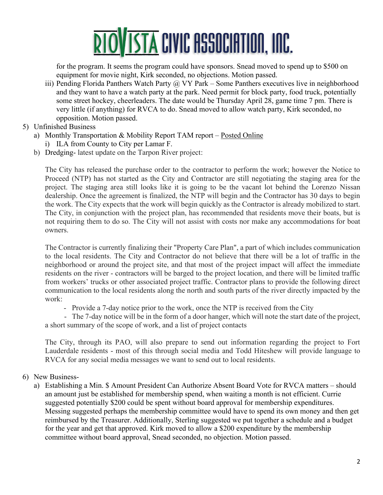

for the program. It seems the program could have sponsors. Snead moved to spend up to \$500 on equipment for movie night, Kirk seconded, no objections. Motion passed.

- iii) Pending Florida Panthers Watch Party  $\omega$  VY Park Some Panthers executives live in neighborhood and they want to have a watch party at the park. Need permit for block party, food truck, potentially some street hockey, cheerleaders. The date would be Thursday April 28, game time 7 pm. There is very little (if anything) for RVCA to do. Snead moved to allow watch party, Kirk seconded, no opposition. Motion passed.
- 5) Unfinished Business
	- a) Monthly Transportation & Mobility Report TAM report [Posted Online](https://www.riovistaonline.com/city-county-info/transportation-and-mobility-status-reports) i) ILA from County to City per Lamar F.
	- b) Dredging- latest update on the Tarpon River project:

The City has released the purchase order to the contractor to perform the work; however the Notice to Proceed (NTP) has not started as the City and Contractor are still negotiating the staging area for the project. The staging area still looks like it is going to be the vacant lot behind the Lorenzo Nissan dealership. Once the agreement is finalized, the NTP will begin and the Contractor has 30 days to begin the work. The City expects that the work will begin quickly as the Contractor is already mobilized to start. The City, in conjunction with the project plan, has recommended that residents move their boats, but is not requiring them to do so. The City will not assist with costs nor make any accommodations for boat owners.

The Contractor is currently finalizing their "Property Care Plan", a part of which includes communication to the local residents. The City and Contractor do not believe that there will be a lot of traffic in the neighborhood or around the project site, and that most of the project impact will affect the immediate residents on the river - contractors will be barged to the project location, and there will be limited traffic from workers' trucks or other associated project traffic. Contractor plans to provide the following direct communication to the local residents along the north and south parts of the river directly impacted by the work:

- Provide a 7-day notice prior to the work, once the NTP is received from the City

- The 7-day notice will be in the form of a door hanger, which will note the start date of the project, a short summary of the scope of work, and a list of project contacts

The City, through its PAO, will also prepare to send out information regarding the project to Fort Lauderdale residents - most of this through social media and Todd Hiteshew will provide language to RVCA for any social media messages we want to send out to local residents.

- 6) New Business
	- a) Establishing a Min. \$ Amount President Can Authorize Absent Board Vote for RVCA matters should an amount just be established for membership spend, when waiting a month is not efficient. Currie suggested potentially \$200 could be spent without board approval for membership expenditures. Messing suggested perhaps the membership committee would have to spend its own money and then get reimbursed by the Treasurer. Additionally, Sterling suggested we put together a schedule and a budget for the year and get that approved. Kirk moved to allow a \$200 expenditure by the membership committee without board approval, Snead seconded, no objection. Motion passed.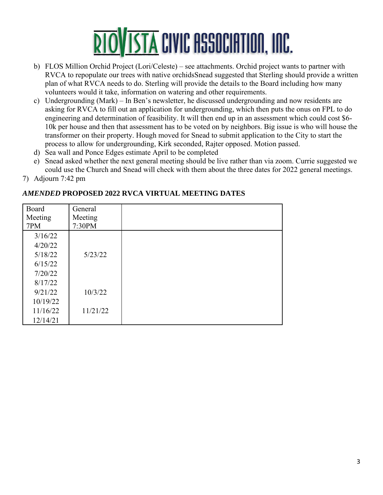# OVISTA CIVIC ASSOCIATION, INC.

- b) FLOS Million Orchid Project (Lori/Celeste) see attachments. Orchid project wants to partner with RVCA to repopulate our trees with native orchidsSnead suggested that Sterling should provide a written plan of what RVCA needs to do. Sterling will provide the details to the Board including how many volunteers would it take, information on watering and other requirements.
- c) Undergrounding (Mark) In Ben's newsletter, he discussed undergrounding and now residents are asking for RVCA to fill out an application for undergrounding, which then puts the onus on FPL to do engineering and determination of feasibility. It will then end up in an assessment which could cost \$6- 10k per house and then that assessment has to be voted on by neighbors. Big issue is who will house the transformer on their property. Hough moved for Snead to submit application to the City to start the process to allow for undergrounding, Kirk seconded, Rajter opposed. Motion passed.
- d) Sea wall and Ponce Edges estimate April to be completed
- e) Snead asked whether the next general meeting should be live rather than via zoom. Currie suggested we could use the Church and Snead will check with them about the three dates for 2022 general meetings.
- 7) Adjourn 7:42 pm

| Board    | General  |  |
|----------|----------|--|
| Meeting  | Meeting  |  |
| 7PM      | 7:30PM   |  |
| 3/16/22  |          |  |
| 4/20/22  |          |  |
| 5/18/22  | 5/23/22  |  |
| 6/15/22  |          |  |
| 7/20/22  |          |  |
| 8/17/22  |          |  |
| 9/21/22  | 10/3/22  |  |
| 10/19/22 |          |  |
| 11/16/22 | 11/21/22 |  |
| 12/14/21 |          |  |

## *AMENDED* **PROPOSED 2022 RVCA VIRTUAL MEETING DATES**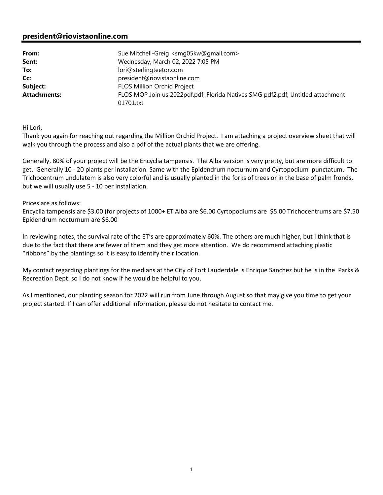#### **president@riovistaonline.com**

| From:               | Sue Mitchell-Greig <smg05kw@gmail.com></smg05kw@gmail.com>                      |  |
|---------------------|---------------------------------------------------------------------------------|--|
| Sent:               | Wednesday, March 02, 2022 7:05 PM                                               |  |
| To:                 | lori@sterlingteetor.com                                                         |  |
| Cc:                 | president@riovistaonline.com                                                    |  |
| Subject:            | <b>FLOS Million Orchid Project</b>                                              |  |
| <b>Attachments:</b> | FLOS MOP Join us 2022pdf.pdf; Florida Natives SMG pdf2.pdf; Untitled attachment |  |
|                     | 01701.txt                                                                       |  |

Hi Lori,

Thank you again for reaching out regarding the Million Orchid Project. I am attaching a project overview sheet that will walk you through the process and also a pdf of the actual plants that we are offering.

Generally, 80% of your project will be the Encyclia tampensis. The Alba version is very pretty, but are more difficult to get. Generally 10 - 20 plants per installation. Same with the Epidendrum nocturnum and Cyrtopodium punctatum. The Trichocentrum undulatem is also very colorful and is usually planted in the forks of trees or in the base of palm fronds, but we will usually use 5 - 10 per installation.

#### Prices are as follows:

Encyclia tampensis are \$3.00 (for projects of 1000+ ET Alba are \$6.00 Cyrtopodiums are \$5.00 Trichocentrums are \$7.50 Epidendrum nocturnum are \$6.00

In reviewing notes, the survival rate of the ET's are approximately 60%. The others are much higher, but I think that is due to the fact that there are fewer of them and they get more attention. We do recommend attaching plastic "ribbons" by the plantings so it is easy to identify their location.

My contact regarding plantings for the medians at the City of Fort Lauderdale is Enrique Sanchez but he is in the Parks & Recreation Dept. so I do not know if he would be helpful to you.

As I mentioned, our planting season for 2022 will run from June through August so that may give you time to get your project started. If I can offer additional information, please do not hesitate to contact me.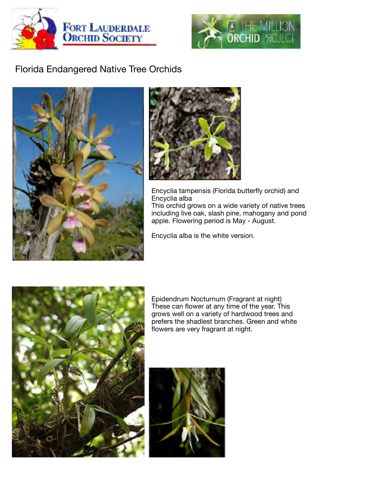



# Florida Endangered Native Tree Orchids





Encyclia tampensis (Florida butterfly orchid) and Encyclia alba This orchid grows on a wide variety of native trees including live oak, slash pine, mahogany and pond apple. Flowering period is May - August.

Encyclia alba is the white version.



Epidendrum Nocturnum (Fragrant at night) These can flower at any time of the year. This grows well on a variety of hardwood trees and prefers the shadiest branches. Green and white flowers are very fragrant at night.

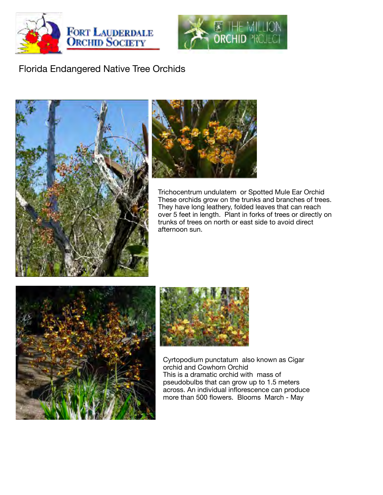



# Florida Endangered Native Tree Orchids





Trichocentrum undulatem or Spotted Mule Ear Orchid These orchids grow on the trunks and branches of trees. They have long leathery, folded leaves that can reach over 5 feet in length. Plant in forks of trees or directly on trunks of trees on north or east side to avoid direct afternoon sun.





Cyrtopodium punctatum also known as Cigar orchid and Cowhorn Orchid This is a dramatic orchid with mass of pseudobulbs that can grow up to 1.5 meters across. An individual inflorescence can produce more than 500 flowers. Blooms March - May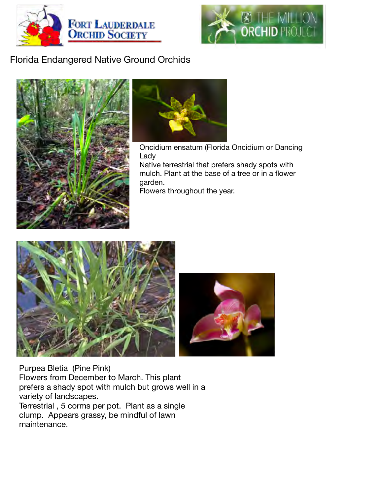



# Florida Endangered Native Ground Orchids





Oncidium ensatum (Florida Oncidium or Dancing Lady Native terrestrial that prefers shady spots with

mulch. Plant at the base of a tree or in a flower garden.

Flowers throughout the year.



Purpea Bletia (Pine Pink) Flowers from December to March. This plant prefers a shady spot with mulch but grows well in a variety of landscapes. Terrestrial , 5 corms per pot. Plant as a single clump. Appears grassy, be mindful of lawn maintenance.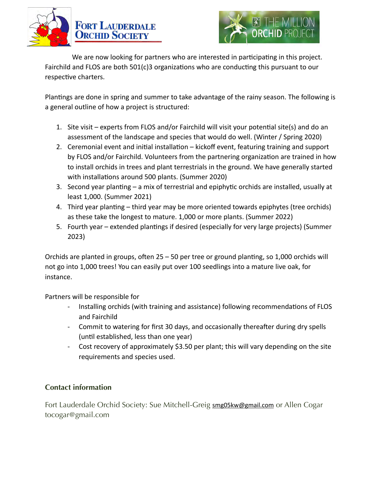



We are now looking for partners who are interested in participating in this project. Fairchild and FLOS are both  $501(c)3$  organizations who are conducting this pursuant to our respective charters.

Plantings are done in spring and summer to take advantage of the rainy season. The following is a general outline of how a project is structured:

- 1. Site visit experts from FLOS and/or Fairchild will visit your potential site(s) and do an assessment of the landscape and species that would do well. (Winter / Spring 2020)
- 2. Ceremonial event and initial installation kickoff event, featuring training and support by FLOS and/or Fairchild. Volunteers from the partnering organization are trained in how to install orchids in trees and plant terrestrials in the ground. We have generally started with installations around 500 plants. (Summer 2020)
- 3. Second year planting  $-$  a mix of terrestrial and epiphytic orchids are installed, usually at least 1,000. (Summer 2021)
- 4. Third year planting third year may be more oriented towards epiphytes (tree orchids) as these take the longest to mature. 1,000 or more plants. (Summer 2022)
- 5. Fourth year extended plantings if desired (especially for very large projects) (Summer 2023)

Orchids are planted in groups, often  $25 - 50$  per tree or ground planting, so 1,000 orchids will not go into 1,000 trees! You can easily put over 100 seedlings into a mature live oak, for instance.

Partners will be responsible for

- Installing orchids (with training and assistance) following recommendations of FLOS and Fairchild
- Commit to watering for first 30 days, and occasionally thereafter during dry spells (until established, less than one year)
- Cost recovery of approximately \$3.50 per plant; this will vary depending on the site requirements and species used.

## **Contact information**

Fort Lauderdale Orchid Society: Sue Mitchell-Greig **smg05kw@gmail.com** or Allen Cogar tocogar@gmail.com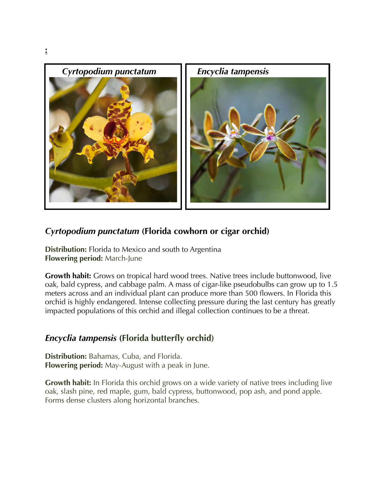

## *Cyrtopodium punctatum* **(Florida cowhorn or cigar orchid)**

**Distribution:** Florida to Mexico and south to Argentina **Flowering period:** March-June

**Growth habit:** Grows on tropical hard wood trees. Native trees include buttonwood, live oak, bald cypress, and cabbage palm. A mass of cigar-like pseudobulbs can grow up to 1.5 meters across and an individual plant can produce more than 500 flowers. In Florida this orchid is highly endangered. Intense collecting pressure during the last century has greatly impacted populations of this orchid and illegal collection continues to be a threat.

## *Encyclia tampensis* **(Florida butterfly orchid)**

**Distribution:** Bahamas, Cuba, and Florida. **Flowering period:** May-August with a peak in June.

**Growth habit:** In Florida this orchid grows on a wide variety of native trees including live oak, slash pine, red maple, gum, bald cypress, buttonwood, pop ash, and pond apple. Forms dense clusters along horizontal branches.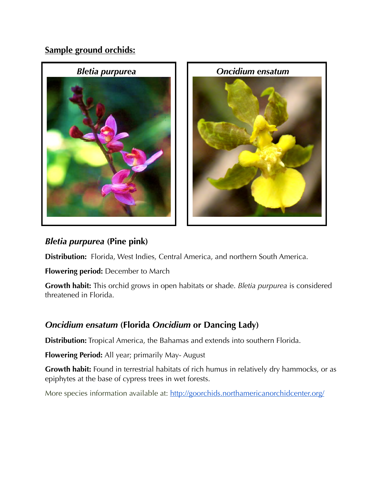# **Sample ground orchids:**



## *Bletia purpurea* **(Pine pink)**

**Distribution:** Florida, West Indies, Central America, and northern South America.

**Flowering period:** December to March

**Growth habit:** This orchid grows in open habitats or shade. *Bletia purpurea* is considered threatened in Florida.

# *Oncidium ensatum* **(Florida** *Oncidium* **or Dancing Lady)**

**Distribution:** Tropical America, the Bahamas and extends into southern Florida.

**Flowering Period:** All year; primarily May- August

**Growth habit:** Found in terrestrial habitats of rich humus in relatively dry hammocks, or as epiphytes at the base of cypress trees in wet forests.

More species information available at: http://goorchids.northamericanorchidcenter.org/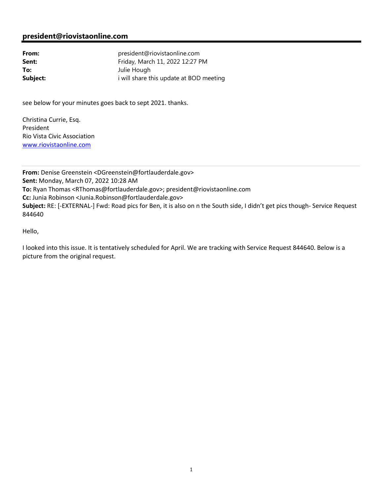### **president@riovistaonline.com**

| From:    | president@riovistaonline.com            |
|----------|-----------------------------------------|
| Sent:    | Friday, March 11, 2022 12:27 PM         |
| To:      | Julie Hough                             |
| Subject: | i will share this update at BOD meeting |

see below for your minutes goes back to sept 2021. thanks.

Christina Currie, Esq. President Rio Vista Civic Association www.riovistaonline.com

**From:** Denise Greenstein <DGreenstein@fortlauderdale.gov> **Sent:** Monday, March 07, 2022 10:28 AM **To:** Ryan Thomas <RThomas@fortlauderdale.gov>; president@riovistaonline.com **Cc:** Junia Robinson <Junia.Robinson@fortlauderdale.gov> **Subject:** RE: [-EXTERNAL-] Fwd: Road pics for Ben, it is also on n the South side, I didn't get pics though- Service Request 844640

Hello,

I looked into this issue. It is tentatively scheduled for April. We are tracking with Service Request 844640. Below is a picture from the original request.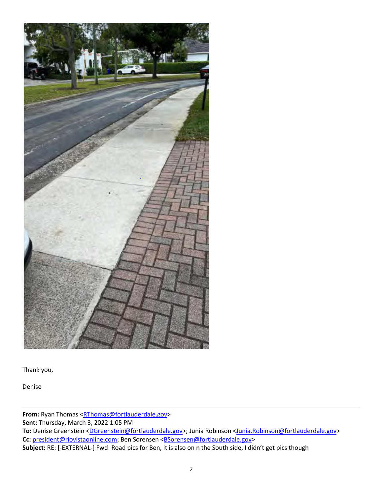

Thank you,

Denise

**From:** Ryan Thomas <RThomas@fortlauderdale.gov>

**Sent:** Thursday, March 3, 2022 1:05 PM

To: Denise Greenstein <DGreenstein@fortlauderdale.gov>; Junia Robinson <Junia.Robinson@fortlauderdale.gov> Cc: president@riovistaonline.com; Ben Sorensen <BSorensen@fortlauderdale.gov>

**Subject:** RE: [-EXTERNAL-] Fwd: Road pics for Ben, it is also on n the South side, I didn't get pics though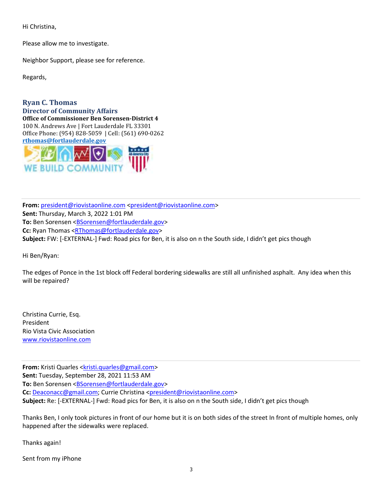Hi Christina,

Please allow me to investigate.

Neighbor Support, please see for reference.

Regards,

#### **Ryan C. Thomas Director of Community Affairs**

**Office of Commissioner Ben Sorensen-District 4**  100 N. Andrews Ave | Fort Lauderdale FL 33301 Office Phone: (954) 828-5059 | Cell: (561) 690-0262 **rthomas@fortlauderdale.gov**



From: president@riovistaonline.com <president@riovistaonline.com> **Sent:** Thursday, March 3, 2022 1:01 PM **To:** Ben Sorensen <BSorensen@fortlauderdale.gov> **Cc:** Ryan Thomas <RThomas@fortlauderdale.gov> **Subject:** FW: [-EXTERNAL-] Fwd: Road pics for Ben, it is also on n the South side, I didn't get pics though

Hi Ben/Ryan:

The edges of Ponce in the 1st block off Federal bordering sidewalks are still all unfinished asphalt. Any idea when this will be repaired?

Christina Currie, Esq. President Rio Vista Civic Association www.riovistaonline.com

**From:** Kristi Quarles <kristi.quarles@gmail.com> **Sent:** Tuesday, September 28, 2021 11:53 AM **To:** Ben Sorensen <BSorensen@fortlauderdale.gov> **Cc:** Deaconacc@gmail.com; Currie Christina <president@riovistaonline.com> **Subject:** Re: [-EXTERNAL-] Fwd: Road pics for Ben, it is also on n the South side, I didn't get pics though

Thanks Ben, I only took pictures in front of our home but it is on both sides of the street In front of multiple homes, only happened after the sidewalks were replaced.

Thanks again!

Sent from my iPhone